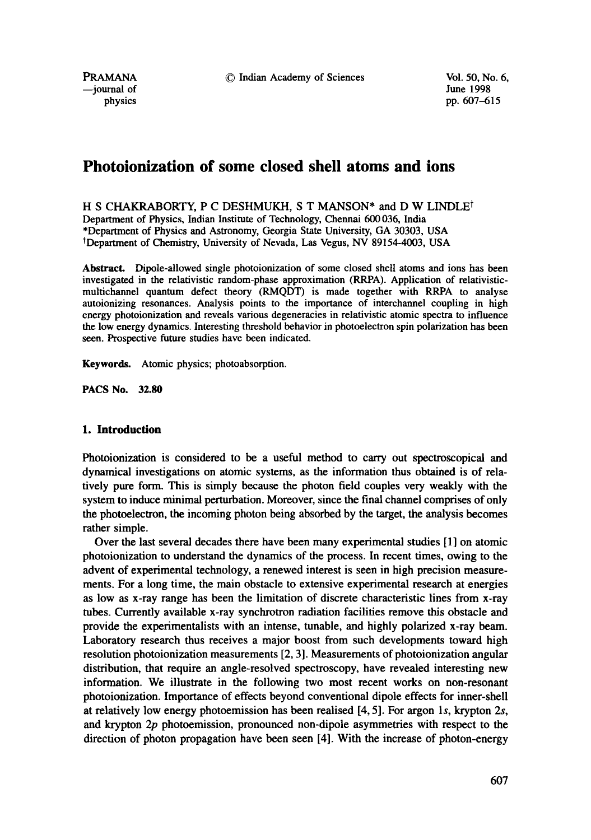© Indian Academy of Sciences Vol. 50, No. 6,

PRAMANA --journal of physics

June 1998 pp. 607-615

# **Photoionization of some closed shell atoms and ions**

H S CHAKRABORTY, P C DESHMUKH, S T MANSON\* and D W LINDLE<sup>t</sup> Department of Physics, Indian Institute of Technology, Chermai 600 036, India \*Department of Physics and Astronomy, Georgia State University, GA 30303, USA tDepartment of Chemistry, University of Nevada, Las Vegus, NV 89154-4003, USA

**Abstract.** Dipole-allowed single photoionization of some closed shell atoms and ions has been investigated in the relativistic random-phase approximation (RRPA). Application of relativisticmultichannel quantum defect theory (RMQDT) is made together with RRPA to analyse autoionizing resonances. Analysis points to the importance of interchannel coupling in high energy photoionization and reveals various degeneracies in relativistic atomic spectra to influence the low energy dynamics. Interesting threshold behavior in photoelectron spin polarization has been seen. Prospective future studies have been indicated.

**Keywords.** Atomic physics; photoabsorption.

**PACS No. 32.80** 

# **1. Introduction**

Photoionization is considered to be a useful method to carry out spectroscopical and dynamical investigations on atomic systems, as the information thus obtained is of relatively pure form. This is simply because the photon field couples very weakly with the system to induce minimal perturbation. Moreover, since the final channel comprises of only the photoelectron, the incoming photon being absorbed by the target, the analysis becomes rather simple.

Over the last several decades there have been many experimental studies [1] on atomic photoionization to understand the dynamics of the process. In recent times, owing to the advent of experimental technology, a renewed interest is seen in high precision measurements. For a long time, the main obstacle to extensive experimental research at energies as low as x-ray range has been the limitation of discrete characteristic lines from x-ray tubes. Currently available x-ray synchrotron radiation facilities remove this obstacle and provide the experimentalists with an intense, tunable, and highly polarized x-ray beam. Laboratory research thus receives a major boost from such developments toward high resolution photoionization measurements [2, 3]. Measurements of photoionization angular distribution, that require an angle-resolved spectroscopy, have revealed interesting new information. We illustrate in the following two most recent works on non-resonant photoionization. Importance of effects beyond conventional dipole effects for inner-shell at relatively low energy photoemission has been realised [4, 5]. For argon Is, krypton 2s, and krypton 2p photoemission, pronounced non-dipole asymmetries with respect to the direction of photon propagation have been seen [4]. With the increase of photon-energy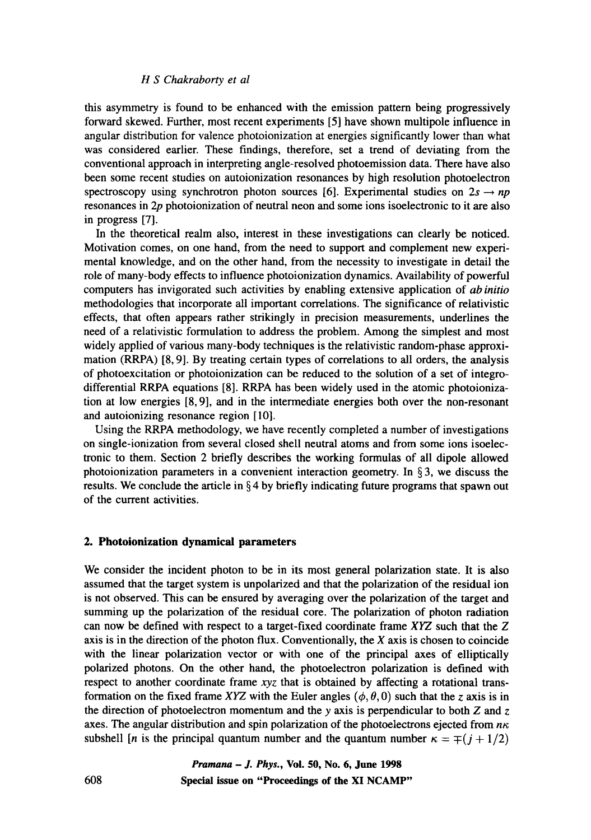#### *H S Chakraborty et al*

this asymmetry is found to be enhanced with the emission pattern being progressively forward skewed. Further, most recent experiments [5] have shown multipole influence in angular distribution for valence photoionization at energies significantly lower than what was considered earlier. These findings, therefore, set a trend of deviating from the conventional approach in interpreting angle-resolved photoemission data. There have also been some recent studies on autoionization resonances by high resolution photoelectron spectroscopy using synchrotron photon sources [6]. Experimental studies on  $2s \rightarrow np$ resonances in 2p photoionization of neutral neon and some ions isoelectronic to it are also in progress [7].

In the theoretical realm also, interest in these investigations can clearly be noticed. Motivation comes, on one hand, from the need to support and complement new experimental knowledge, and on the other hand, from the necessity to investigate in detail the role of many-body effects to influence photoionization dynamics. Availability of powerful computers has invigorated such activities by enabling extensive application of *ab initio*  methodologies that incorporate all important correlations. The significance of relativistic effects, that often appears rather strikingly in precision measurements, underlines the need of a relativistic formulation to address the problem. Among the simplest and most widely applied of various many-body techniques is the relativistic random-phase approximation (RRPA) [8, 9]. By treating certain types of correlations to all orders, the analysis of photoexcitation or photoionization can be reduced to the solution of a set of integrodifferential RRPA equations [8]. RRPA has been widely used in the atomic photoionization at low energies [8, 9], and in the intermediate energies both over the non-resonant and autoionizing resonance region [10].

Using the RRPA methodology, we have recently completed a number of investigations on single-ionization from several closed shell neutral atoms and from some ions isoelectronic to them. Section 2 briefly describes the working formulas of all dipole allowed photoionization parameters in a convenient interaction geometry. In  $\S$ 3, we discuss the results. We conclude the article in  $\S 4$  by briefly indicating future programs that spawn out of the current activities.

#### **2. Photoionization dynamical parameters**

We consider the incident photon to be in its most general polarization state. It is also assumed that the target system is unpolarized and that the polarization of the residual ion is not observed. This can be ensured by averaging over the polarization of the target and summing up the polarization of the residual core. The polarization of photon radiation can now be defined with respect to a target-fixed coordinate frame XYZ such that the Z axis is in the direction of the photon flux. Conventionally, the  $X$  axis is chosen to coincide with the linear polarization vector or with one of the principal axes of elliptically polarized photons. On the other hand, the photoelectron polarization is defined with respect to another coordinate frame xyz that is obtained by affecting a rotational transformation on the fixed frame XYZ with the Euler angles ( $\phi$ ,  $\theta$ , 0) such that the z axis is in the direction of photoelectron momentum and the y axis is perpendicular to both  $Z$  and  $Z$ axes. The angular distribution and spin polarization of the photoelectrons ejected from  $n\kappa$ subshell [n is the principal quantum number and the quantum number  $\kappa = \pm (j + 1/2)$ ]

> *Pramana - J. Phys.,* **Vol. 50, No. 6, June 1998 Special issue on "Proceedings of the XI NCAMP"**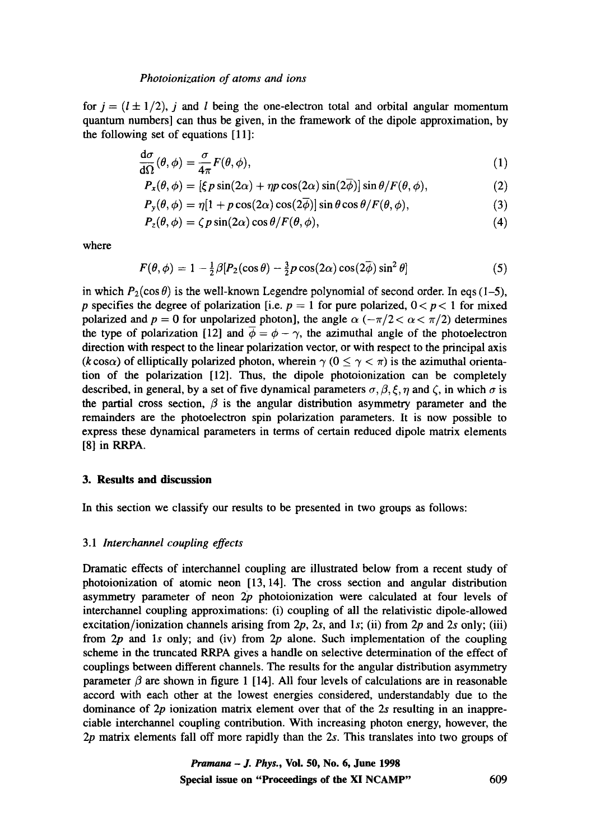#### *Photoionization of atoms and ions*

for  $j = (l \pm 1/2)$ , j and l being the one-electron total and orbital angular momentum quantum numbers] can thus be given, in the framework of the dipole approximation, by the following set of equations [11]:

$$
\frac{d\sigma}{d\Omega}(\theta,\phi) = \frac{\sigma}{4\pi}F(\theta,\phi),\tag{1}
$$

$$
P_x(\theta, \phi) = [\xi p \sin(2\alpha) + \eta p \cos(2\alpha) \sin(2\phi)] \sin \theta / F(\theta, \phi), \qquad (2)
$$

$$
P_{y}(\theta,\phi) = \eta[1 + p\cos(2\alpha)\cos(2\overline{\phi})] \sin\theta\cos\theta/F(\theta,\phi), \qquad (3)
$$

$$
P_z(\theta,\phi) = \zeta p \sin(2\alpha) \cos \theta / F(\theta,\phi), \qquad (4)
$$

where

$$
F(\theta,\phi) = 1 - \frac{1}{2}\beta[P_2(\cos\theta) - \frac{3}{2}p\cos(2\alpha)\cos(2\overline{\phi})\sin^2\theta]
$$
 (5)

in which  $P_2(\cos \theta)$  is the well-known Legendre polynomial of second order. In eqs (1–5), p specifies the degree of polarization [i.e.  $p = 1$  for pure polarized,  $0 < p < 1$  for mixed polarized and  $p = 0$  for unpolarized photon], the angle  $\alpha$  ( $-\pi/2 < \alpha < \pi/2$ ) determines the type of polarization [12] and  $\phi = \phi - \gamma$ , the azimuthal angle of the photoelectron direction with respect to the linear polarization vector, or with respect to the principal axis (k cos $\alpha$ ) of elliptically polarized photon, wherein  $\gamma$  ( $0 \le \gamma < \pi$ ) is the azimuthal orientation of the polarization [12]. Thus, the dipole photoionization can be completely described, in general, by a set of five dynamical parameters  $\sigma$ ,  $\beta$ ,  $\xi$ ,  $\eta$  and  $\zeta$ , in which  $\sigma$  is the partial cross section,  $\beta$  is the angular distribution asymmetry parameter and the remainders are the photoelectron spin polarization parameters. It is now possible to express these dynamical parameters in terms of certain reduced dipole matrix elements [8] in RRPA.

# **3. Results and discussion**

In this section we classify our results to be presented in two groups as follows:

## 3.1 *Interchannel coupling effects*

Dramatic effects of interchannel coupling are illustrated below from a recent study of photoionization of atomic neon [13, 14]. The cross section and angular distribution asymmetry parameter of neon  $2p$  photoionization were calculated at four levels of interchannel coupling approximations: (i) coupling of all the relativistic dipole-allowed excitation/ionization channels arising from  $2p$ , 2s, and 1s; (ii) from  $2p$  and 2s only; (iii) from  $2p$  and 1s only; and (iv) from  $2p$  alone. Such implementation of the coupling scheme in the truncated RRPA gives a handle on selective determination of the effect of couplings between different channels. The results for the angular distribution asymmetry parameter  $\beta$  are shown in figure 1 [14]. All four levels of calculations are in reasonable accord with each other at the lowest energies considered, understandably due to the dominance of 2p ionization matrix element over that of the 2s resulting in an inappreciable interchannel coupling contribution. With increasing photon energy, however, the 2p matrix elements fall off more rapidly than the 2s. This translates into two groups of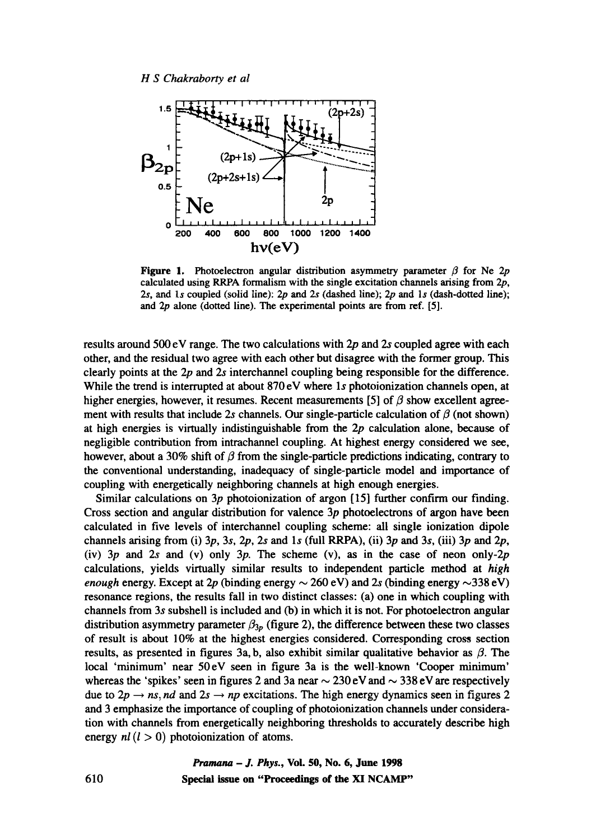

Figure 1. Photoelectron angular distribution asymmetry parameter  $\beta$  for Ne 2p calculated using RRPA formalism with the single excitation channels arising from 2p, 2s, and 1s coupled (solid line):  $2p$  and  $2s$  (dashed line);  $2p$  and 1s (dash-dotted line); and 2p alone (dotted line). The experimental points are from ref. [5].

results around 500 eV range. The two calculations with 2p and 2s coupled agree with each other, and the residual two agree with each other but disagree with the former group. This clearly points at the 2p and 2s interchannel coupling being responsible for the difference. While the trend is interrupted at about 870 eV where 1s photoionization channels open, at higher energies, however, it resumes. Recent measurements [5] of  $\beta$  show excellent agreement with results that include 2s channels. Our single-particle calculation of  $\beta$  (not shown) at high energies is virtually indistinguishable from the  $2p$  calculation alone, because of negligible contribution from intrachannel coupling. At highest energy considered we see, however, about a 30% shift of  $\beta$  from the single-particle predictions indicating, contrary to the conventional understanding, inadequacy of single-particle model and importance of coupling with energetically neighboring channels at high enough energies.

Similar calculations on  $3p$  photoionization of argon [15] further confirm our finding. Cross section and angular distribution for valence 3p photoelectrons of argon have been calculated in five levels of interchannel coupling scheme: all single ionization dipole channels arising from (i)  $3p$ ,  $3s$ ,  $2p$ ,  $2s$  and  $1s$  (full RRPA), (ii)  $3p$  and  $3s$ , (iii)  $3p$  and  $2p$ , (iv)  $3p$  and  $2s$  and (v) only  $3p$ . The scheme (v), as in the case of neon only- $2p$ calculations, yields virtually similar results to independent particle method at *high enough energy.* Except at 2p (binding energy  $\sim$  260 eV) and 2s (binding energy  $\sim$  338 eV) resonance regions, the results fall in two distinct classes: (a) one in which coupling with channels from 3s subshell is included and (b) in which it is not. For photoelectron angular distribution asymmetry parameter  $\beta_{3p}$  (figure 2), the difference between these two classes of result is about 10% at the highest energies considered. Corresponding cross section results, as presented in figures 3a, b, also exhibit similar qualitative behavior as  $\beta$ . The local 'minimum' near 50eV seen in figure 3a is the well-known 'Cooper minimum' whereas the 'spikes' seen in figures 2 and 3a near  $\sim$  230 eV and  $\sim$  338 eV are respectively due to  $2p \rightarrow ns$ , *nd* and  $2s \rightarrow np$  excitations. The high energy dynamics seen in figures 2 and 3 emphasize the importance of coupling of photoionization channels under consideration with channels from energetically neighboring thresholds to accurately describe high energy  $nl$  ( $l > 0$ ) photoionization of atoms.

> *Pramana - J. Phys.,* **Vol. 50, No. 6, June 1998**  Special issue on "Proceedings of the XI NCAMP"

610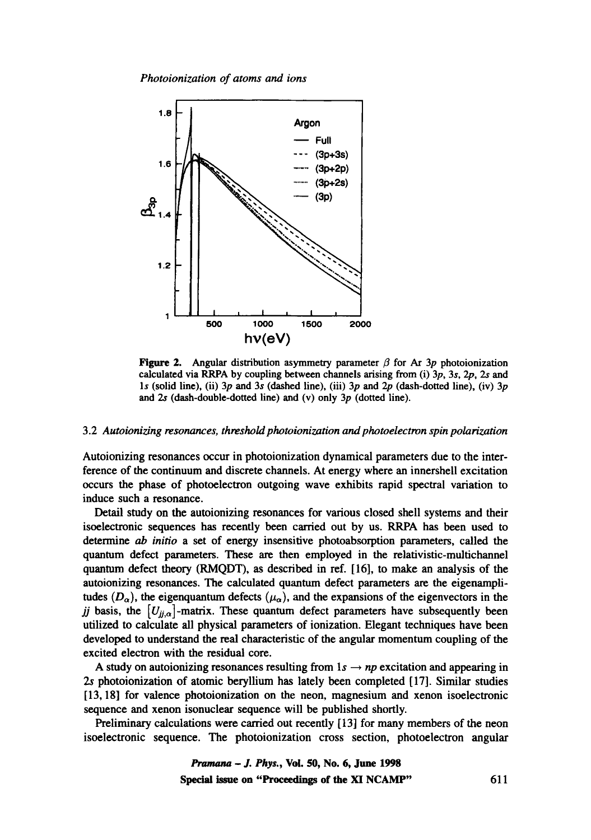*Photoionization of atoms and ions* 



**Figure 2.** Angular distribution asymmetry parameter  $\beta$  for Ar 3p photoionization calculated via RRPA by coupling between channels arising from (i) 3p, 3s, 2p, 2s and 1s (solid line), (ii)  $3p$  and  $3s$  (dashed line), (iii)  $3p$  and  $2p$  (dash-dotted line), (iv)  $3p$ and 2s (dash-double-dotted line) and (v) only 3p (dotted line).

#### 3.2 *Autoionizing resonances, threshold photoionization and photoelectron spin polarization*

Autoionizing resonances occur in photoionization dynamical parameters due to the interference of the continuum and discrete channels. At energy where an innershell excitation occurs the phase of photoelectron outgoing wave exhibits rapid spectral variation to induce such a resonance.

Detail study on the autoionizing resonances for various closed shell systems and their isoelectronic sequences has recently been carried out by us. RRPA has been used to determine ab *initio* a set of energy insensitive photoabsorption parameters, called the quantum defect parameters. These are then employed in the relativistic-multichannel quantum defect theory (RMQDT), as described in ref. [16], to make an analysis of the autoionizing resonances. The calculated quantum defect parameters are the eigenamplitudes  $(D_{\alpha})$ , the eigenquantum defects  $(\mu_{\alpha})$ , and the expansions of the eigenvectors in the *jj* basis, the  $[U_{ij,\alpha}]$ -matrix. These quantum defect parameters have subsequently been utilized to calculate all physical parameters of ionization. Elegant techniques have been developed to understand the real characteristic of the angular momentum coupling of the excited electron with the residual core.

A study on autoionizing resonances resulting from  $1s \rightarrow np$  excitation and appearing in 2s photoionization of atomic beryllium has lately been completed [17]. Similar studies [13, 18] for valence photoionization on the neon, magnesium and xenon isoelectronic sequence and xenon isonuclear sequence will be published shortly.

Preliminary calculations were carried out recently [ 13] for many members of the neon isoelectronic sequence. The photoionization cross section, photoelectron angular

> *Pramana - J. Phys.,* **Voi. 50, No. 6, June 1998**  Special issue on "Proceedings of the XI NCAMP" 611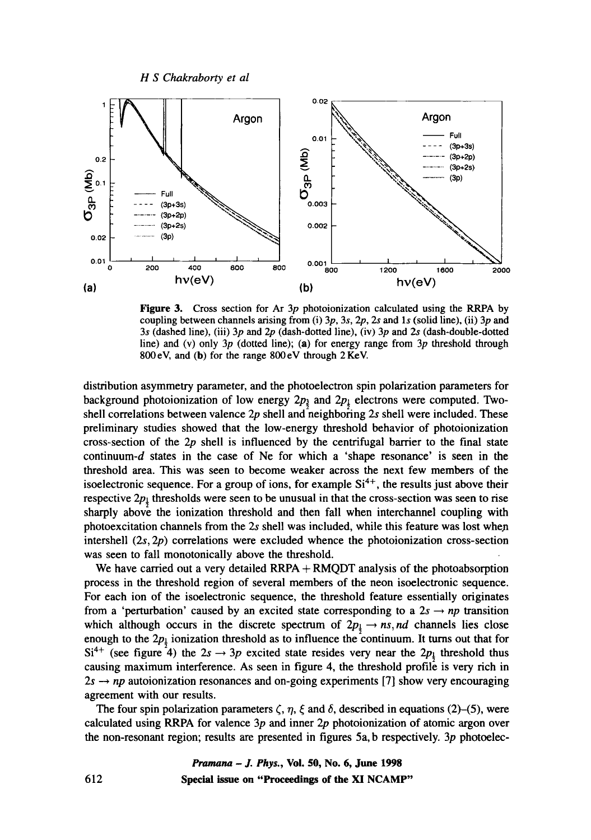



Figure 3. Cross section for Ar 3p photoionization calculated using the RRPA by coupling between channels arising from (i)  $3p$ ,  $3s$ ,  $2p$ ,  $2s$  and  $1s$  (solid line), (ii)  $3p$  and 3s (dashed line), (iii)  $3p$  and  $2p$  (dash-dotted line), (iv)  $3p$  and  $2s$  (dash-double-dotted line) and (v) only 3p (dotted line); (a) for energy range from 3p threshold through 800 eV, and (b) for the range 800 eV through 2 KeV.

distribution asymmetry parameter, and the photoelectron spin polarization parameters for background photoionization of low energy  $2p_{\frac{3}{2}}$  and  $2p_{\frac{1}{2}}$  electrons were computed. Twoshell correlations between valence  $2p$  shell and neighboring  $2s$  shell were included. These preliminary studies showed that the low-energy threshold behavior of photoionization cross-section of the  $2p$  shell is influenced by the centrifugal barrier to the final state continuum-d states in the case of Ne for which a 'shape resonance' is seen in the threshold area. This was seen to become weaker across the next few members of the isoelectronic sequence. For a group of ions, for example  $Si<sup>4+</sup>$ , the results just above their respective  $2p_{\downarrow}$  thresholds were seen to be unusual in that the cross-section was seen to rise sharply above the ionization threshold and then fall when interchannel coupling with photoexcitation channels from the 2s shell was included, while this feature was lost when intershell (2s, 2p) correlations were excluded whence the photoionization cross-section was seen to fall monotonically above the threshold.

We have carried out a very detailed  $RRPA + RMQDT$  analysis of the photoabsorption process in the threshold region of several members of the neon isoelectronic sequence. For each ion of the isoelectronic sequence, the threshold feature essentially originates from a 'perturbation' caused by an excited state corresponding to a  $2s \rightarrow np$  transition which although occurs in the discrete spectrum of  $2p_i \rightarrow ns, nd$  channels lies close enough to the  $2p_{\frac{1}{2}}$  ionization threshold as to influence the continuum. It turns out that for Si<sup>4+</sup> (see figure 4) the  $2s \rightarrow 3p$  excited state resides very near the  $2p<sub>\frac{1}{2}</sub>$  threshold thus causing maximum interference. As seen in figure 4, the threshold profile is very rich in  $2s \rightarrow np$  autoionization resonances and on-going experiments [7] show very encouraging agreement with our results.

The four spin polarization parameters  $\zeta$ ,  $\eta$ ,  $\xi$  and  $\delta$ , described in equations (2)–(5), were calculated using RRPA for valence  $3p$  and inner  $2p$  photoionization of atomic argon over the non-resonant region; results are presented in figures 5a, b respectively. 3p photoelec-

> *Pramana - J. Phys.,* **Vol. 50, No. 6, June 1998 Special issue on "Proceedings of the XI NCAMP"**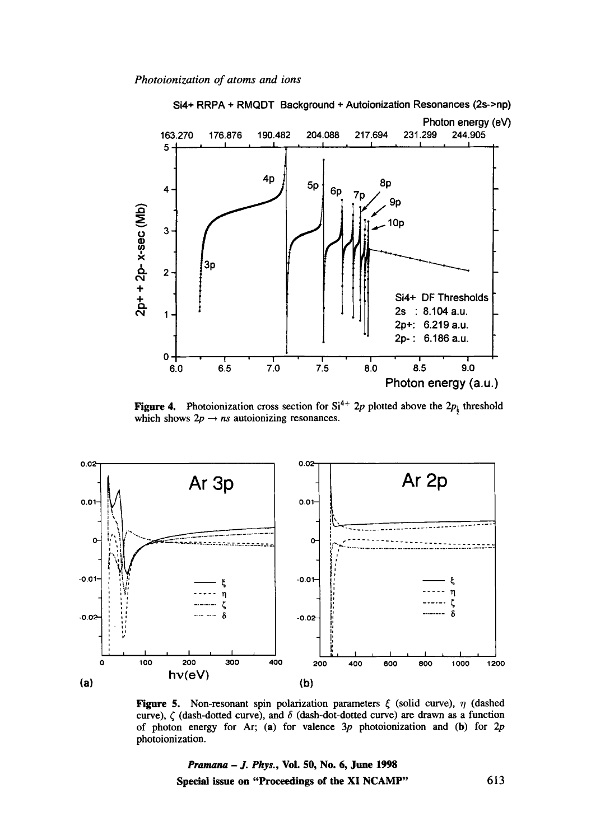

**Figure 4.** Photoionization cross section for  $Si^{4+}$  2p plotted above the  $2p_i$  threshold which shows  $2p \rightarrow ns$  autoionizing resonances.



**Figure 5.** Non-resonant spin polarization parameters  $\xi$  (solid curve),  $\eta$  (dashed curve),  $\zeta$  (dash-dotted curve), and  $\delta$  (dash-dot-dotted curve) are drawn as a function of photon energy for Ar; (a) for valence  $3p$  photoionization and (b) for  $2p$ photoionization.

*Pramana - J. Phys.,* **Vol. 50, No. 6, June 1998 Special issue on "Proceedings of the XI NCAMP"** 613

**Si4+ RRPA + RMQDT Background + Autoionization Resonances (2s->np)**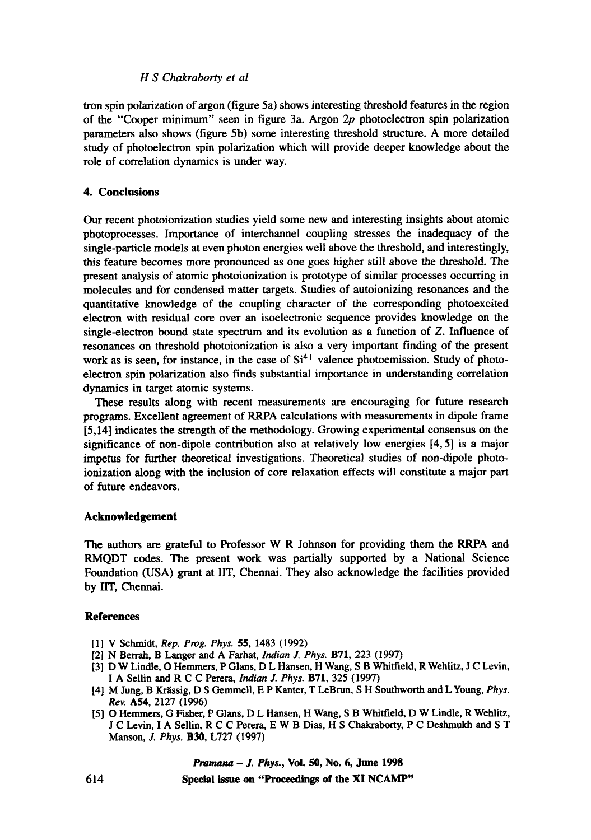## *H S Chakraborty et al*

tron spin polarization of argon (figure 5a) shows interesting threshold features in the region of the "Cooper minimum" seen in figure 3a. Argon 2p photoelectron spin polarization parameters also shows (figure 5b) some interesting threshold structure. A more detailed study of photoelectron spin polarization which will provide deeper knowledge about the role of correlation dynamics is under way.

# **4. Conclusions**

Our recent photoionization studies yield some new and interesting insights about atomic photoprocesses. Importance of interchannel coupling stresses the inadequacy of the single-particle models at even photon energies well above the threshold, and interestingly, this feature becomes more pronounced as one goes higher still above the threshold. The present analysis of atomic photoionization is prototype of similar processes occurring in molecules and for condensed matter targets. Studies of autoionizing resonances and the quantitative knowledge of the coupling character of the corresponding photoexcited electron with residual core over an isoelectronic sequence provides knowledge on the single-electron bound state spectrum and its evolution as a function of Z. Influence of resonances on threshold photoionization is also a very important finding of the present work as is seen, for instance, in the case of  $Si<sup>4+</sup>$  valence photoemission. Study of photoelectron spin polarization also finds substantial importance in understanding correlation dynamics in target atomic systems.

These results along with recent measurements are encouraging for future research programs. Excellent agreement of RRPA calculations with measurements in dipole frame [5,14] indicates the strength of the methodology. Growing experimental consensus on the significance of non-dipole contribution also at relatively low energies [4, 5] is a major impetus for further theoretical investigations. Theoretical studies of non-dipole photoionization along with the inclusion of core relaxation effects will constitute a major part of future endeavors.

#### **Acknowledgement**

The authors are grateful to Professor W R Johnson for providing them the RRPA and RMQDT codes. The present work was partially supported by a National Science Foundation (USA) grant at IIT, Chennai. They also acknowledge the facilities provided by liT, Chennai.

## **References**

- [1] V Schmidt, *Rep. Prog. Phys.* 55, 1483 (1992)
- [2] N Berrah, B Langer and A Farhat, *Indian £ Phys.* B71, 223 (1997)
- [3] D W Lindle, O Hemmers, P Glans, D L Hansen, H Wang, S B Whitfield, R Wehlitz, J C Levin, I A Selfin and R C C Perera, *Indian J. Phys.* B71, 325 (1997)
- [4] M Jung, B Krässig, D S Gemmell, E P Kanter, T LeBrun, S H Southworth and L Young, Phys. *Rev.* A54, 2127 (1996)
- [5] O Hemmers, G Fisher, P Glans, D L Hansen, H Wang, S B Whitfield, D W Lindle, R Wehlitz, J C Levin, I A Sellin, R C C Perera, E W B Dias, H S Chakraborty, P C Deshmukh and S T Manson, *J. Phys.* B30, L727 (1997)

*Pramana - J. Phys.,* **Vol. 50, No. 6, June 1998** 

**Special issue on "Proceedings of the XI NCAMP"**